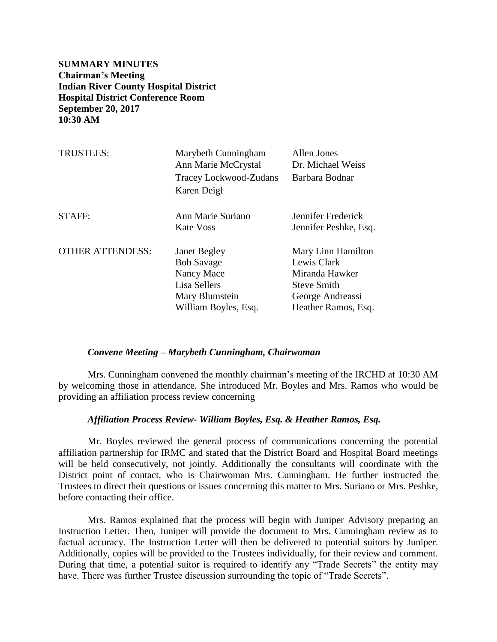**SUMMARY MINUTES Chairman's Meeting Indian River County Hospital District Hospital District Conference Room September 20, 2017 10:30 AM**

| <b>TRUSTEES:</b>        | Marybeth Cunningham<br>Ann Marie McCrystal<br>Tracey Lockwood-Zudans<br>Karen Deigl                              | Allen Jones<br>Dr. Michael Weiss<br>Barbara Bodnar                                                                   |
|-------------------------|------------------------------------------------------------------------------------------------------------------|----------------------------------------------------------------------------------------------------------------------|
| STAFF:                  | Ann Marie Suriano<br>Kate Voss                                                                                   | Jennifer Frederick<br>Jennifer Peshke, Esq.                                                                          |
| <b>OTHER ATTENDESS:</b> | <b>Janet Begley</b><br><b>Bob Savage</b><br>Nancy Mace<br>Lisa Sellers<br>Mary Blumstein<br>William Boyles, Esq. | Mary Linn Hamilton<br>Lewis Clark<br>Miranda Hawker<br><b>Steve Smith</b><br>George Andreassi<br>Heather Ramos, Esq. |

#### *Convene Meeting – Marybeth Cunningham, Chairwoman*

Mrs. Cunningham convened the monthly chairman's meeting of the IRCHD at 10:30 AM by welcoming those in attendance. She introduced Mr. Boyles and Mrs. Ramos who would be providing an affiliation process review concerning

## *Affiliation Process Review- William Boyles, Esq. & Heather Ramos, Esq.*

Mr. Boyles reviewed the general process of communications concerning the potential affiliation partnership for IRMC and stated that the District Board and Hospital Board meetings will be held consecutively, not jointly. Additionally the consultants will coordinate with the District point of contact, who is Chairwoman Mrs. Cunningham. He further instructed the Trustees to direct their questions or issues concerning this matter to Mrs. Suriano or Mrs. Peshke, before contacting their office.

Mrs. Ramos explained that the process will begin with Juniper Advisory preparing an Instruction Letter. Then, Juniper will provide the document to Mrs. Cunningham review as to factual accuracy. The Instruction Letter will then be delivered to potential suitors by Juniper. Additionally, copies will be provided to the Trustees individually, for their review and comment. During that time, a potential suitor is required to identify any "Trade Secrets" the entity may have. There was further Trustee discussion surrounding the topic of "Trade Secrets".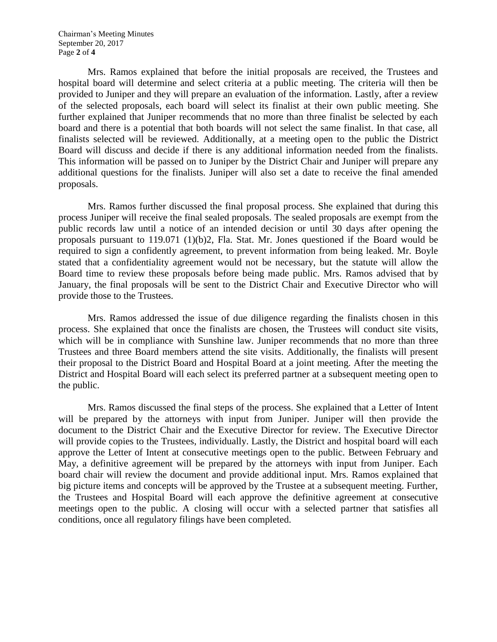Chairman's Meeting Minutes September 20, 2017 Page **2** of **4**

Mrs. Ramos explained that before the initial proposals are received, the Trustees and hospital board will determine and select criteria at a public meeting. The criteria will then be provided to Juniper and they will prepare an evaluation of the information. Lastly, after a review of the selected proposals, each board will select its finalist at their own public meeting. She further explained that Juniper recommends that no more than three finalist be selected by each board and there is a potential that both boards will not select the same finalist. In that case, all finalists selected will be reviewed. Additionally, at a meeting open to the public the District Board will discuss and decide if there is any additional information needed from the finalists. This information will be passed on to Juniper by the District Chair and Juniper will prepare any additional questions for the finalists. Juniper will also set a date to receive the final amended proposals.

Mrs. Ramos further discussed the final proposal process. She explained that during this process Juniper will receive the final sealed proposals. The sealed proposals are exempt from the public records law until a notice of an intended decision or until 30 days after opening the proposals pursuant to 119.071 (1)(b)2, Fla. Stat. Mr. Jones questioned if the Board would be required to sign a confidently agreement, to prevent information from being leaked. Mr. Boyle stated that a confidentiality agreement would not be necessary, but the statute will allow the Board time to review these proposals before being made public. Mrs. Ramos advised that by January, the final proposals will be sent to the District Chair and Executive Director who will provide those to the Trustees.

Mrs. Ramos addressed the issue of due diligence regarding the finalists chosen in this process. She explained that once the finalists are chosen, the Trustees will conduct site visits, which will be in compliance with Sunshine law. Juniper recommends that no more than three Trustees and three Board members attend the site visits. Additionally, the finalists will present their proposal to the District Board and Hospital Board at a joint meeting. After the meeting the District and Hospital Board will each select its preferred partner at a subsequent meeting open to the public.

Mrs. Ramos discussed the final steps of the process. She explained that a Letter of Intent will be prepared by the attorneys with input from Juniper. Juniper will then provide the document to the District Chair and the Executive Director for review. The Executive Director will provide copies to the Trustees, individually. Lastly, the District and hospital board will each approve the Letter of Intent at consecutive meetings open to the public. Between February and May, a definitive agreement will be prepared by the attorneys with input from Juniper. Each board chair will review the document and provide additional input. Mrs. Ramos explained that big picture items and concepts will be approved by the Trustee at a subsequent meeting. Further, the Trustees and Hospital Board will each approve the definitive agreement at consecutive meetings open to the public. A closing will occur with a selected partner that satisfies all conditions, once all regulatory filings have been completed.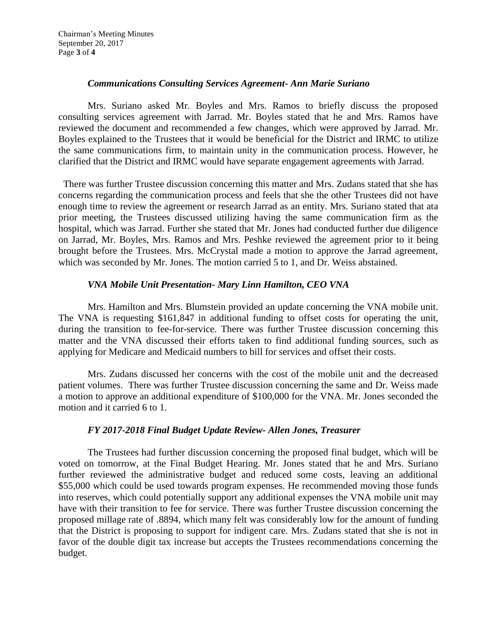Chairman's Meeting Minutes September 20, 2017 Page **3** of **4**

## *Communications Consulting Services Agreement- Ann Marie Suriano*

Mrs. Suriano asked Mr. Boyles and Mrs. Ramos to briefly discuss the proposed consulting services agreement with Jarrad. Mr. Boyles stated that he and Mrs. Ramos have reviewed the document and recommended a few changes, which were approved by Jarrad. Mr. Boyles explained to the Trustees that it would be beneficial for the District and IRMC to utilize the same communications firm, to maintain unity in the communication process. However, he clarified that the District and IRMC would have separate engagement agreements with Jarrad.

There was further Trustee discussion concerning this matter and Mrs. Zudans stated that she has concerns regarding the communication process and feels that she the other Trustees did not have enough time to review the agreement or research Jarrad as an entity. Mrs. Suriano stated that ata prior meeting, the Trustees discussed utilizing having the same communication firm as the hospital, which was Jarrad. Further she stated that Mr. Jones had conducted further due diligence on Jarrad, Mr. Boyles, Mrs. Ramos and Mrs. Peshke reviewed the agreement prior to it being brought before the Trustees. Mrs. McCrystal made a motion to approve the Jarrad agreement, which was seconded by Mr. Jones. The motion carried 5 to 1, and Dr. Weiss abstained.

# *VNA Mobile Unit Presentation- Mary Linn Hamilton, CEO VNA*

Mrs. Hamilton and Mrs. Blumstein provided an update concerning the VNA mobile unit. The VNA is requesting \$161,847 in additional funding to offset costs for operating the unit, during the transition to fee-for-service. There was further Trustee discussion concerning this matter and the VNA discussed their efforts taken to find additional funding sources, such as applying for Medicare and Medicaid numbers to bill for services and offset their costs.

Mrs. Zudans discussed her concerns with the cost of the mobile unit and the decreased patient volumes. There was further Trustee discussion concerning the same and Dr. Weiss made a motion to approve an additional expenditure of \$100,000 for the VNA. Mr. Jones seconded the motion and it carried 6 to 1.

### *FY 2017-2018 Final Budget Update Review- Allen Jones, Treasurer*

The Trustees had further discussion concerning the proposed final budget, which will be voted on tomorrow, at the Final Budget Hearing. Mr. Jones stated that he and Mrs. Suriano further reviewed the administrative budget and reduced some costs, leaving an additional \$55,000 which could be used towards program expenses. He recommended moving those funds into reserves, which could potentially support any additional expenses the VNA mobile unit may have with their transition to fee for service. There was further Trustee discussion concerning the proposed millage rate of .8894, which many felt was considerably low for the amount of funding that the District is proposing to support for indigent care. Mrs. Zudans stated that she is not in favor of the double digit tax increase but accepts the Trustees recommendations concerning the budget.